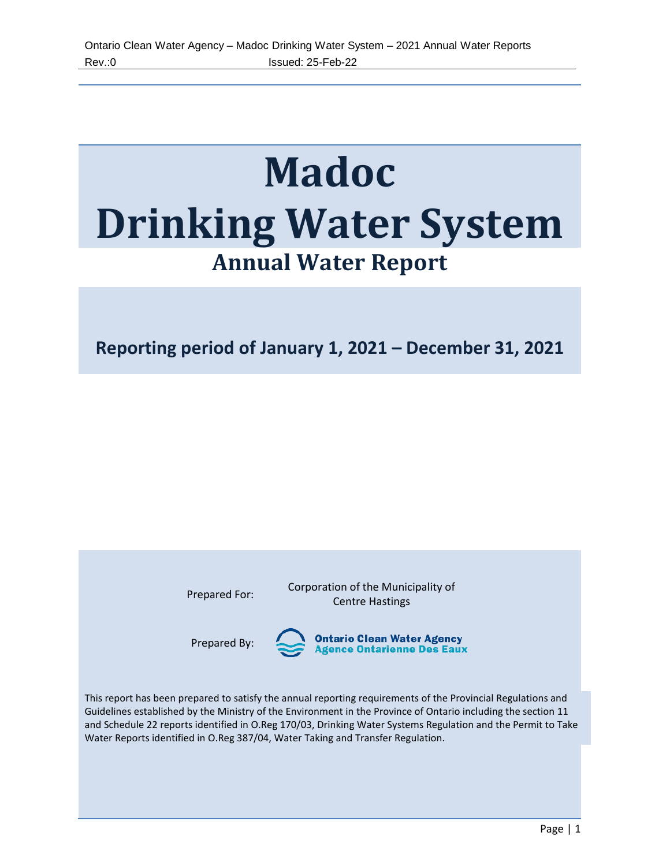# **Madoc Drinking Water System Annual Water Report**

**Reporting period of January 1, 2021 – December 31, 2021**

Prepared For: Corporation of the Municipality of Centre Hastings

Prepared By:

**Ontario Clean Water Agency<br>Agence Ontarienne Des Eaux** 

This report has been prepared to satisfy the annual reporting requirements of the Provincial Regulations and Guidelines established by the Ministry of the Environment in the Province of Ontario including the section 11 and Schedule 22 reports identified in O.Reg 170/03, Drinking Water Systems Regulation and the Permit to Take Water Reports identified in O.Reg 387/04, Water Taking and Transfer Regulation.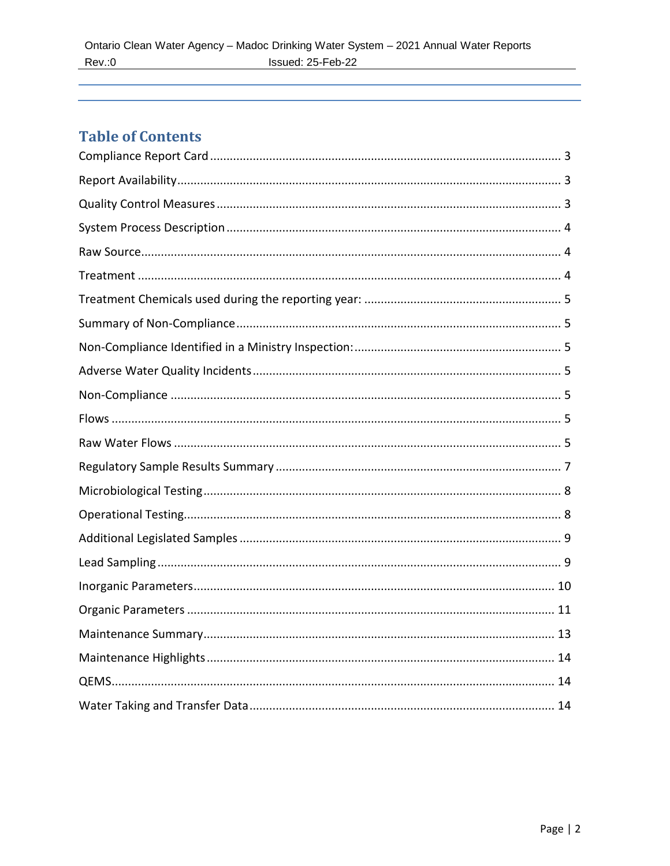# **Table of Contents**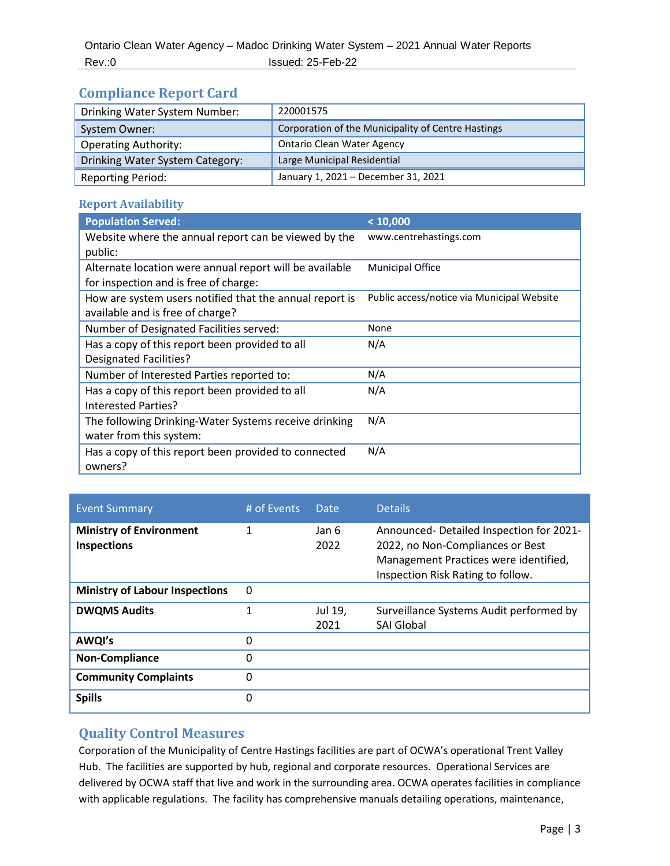## <span id="page-2-0"></span>**Compliance Report Card**

| Drinking Water System Number:   | 220001575                                          |
|---------------------------------|----------------------------------------------------|
| System Owner:                   | Corporation of the Municipality of Centre Hastings |
| <b>Operating Authority:</b>     | <b>Ontario Clean Water Agency</b>                  |
| Drinking Water System Category: | Large Municipal Residential                        |
| <b>Reporting Period:</b>        | January 1, 2021 - December 31, 2021                |

#### <span id="page-2-1"></span>**Report Availability**

| <b>Population Served:</b>                               | < 10,000                                   |
|---------------------------------------------------------|--------------------------------------------|
| Website where the annual report can be viewed by the    | www.centrehastings.com                     |
| public:                                                 |                                            |
| Alternate location were annual report will be available | <b>Municipal Office</b>                    |
| for inspection and is free of charge:                   |                                            |
| How are system users notified that the annual report is | Public access/notice via Municipal Website |
| available and is free of charge?                        |                                            |
| Number of Designated Facilities served:                 | None                                       |
| Has a copy of this report been provided to all          | N/A                                        |
| <b>Designated Facilities?</b>                           |                                            |
| Number of Interested Parties reported to:               | N/A                                        |
| Has a copy of this report been provided to all          | N/A                                        |
| Interested Parties?                                     |                                            |
| The following Drinking-Water Systems receive drinking   | N/A                                        |
| water from this system:                                 |                                            |
| Has a copy of this report been provided to connected    | N/A                                        |
| owners?                                                 |                                            |

| <b>Event Summary</b>                                 | # of Events | Date            | <b>Details</b>                                                                                                                                            |
|------------------------------------------------------|-------------|-----------------|-----------------------------------------------------------------------------------------------------------------------------------------------------------|
| <b>Ministry of Environment</b><br><b>Inspections</b> | 1           | Jan 6<br>2022   | Announced-Detailed Inspection for 2021-<br>2022, no Non-Compliances or Best<br>Management Practices were identified,<br>Inspection Risk Rating to follow. |
| <b>Ministry of Labour Inspections</b>                | 0           |                 |                                                                                                                                                           |
| <b>DWQMS Audits</b>                                  |             | Jul 19,<br>2021 | Surveillance Systems Audit performed by<br><b>SAI Global</b>                                                                                              |
| AWQI's                                               | 0           |                 |                                                                                                                                                           |
| <b>Non-Compliance</b>                                | 0           |                 |                                                                                                                                                           |
| <b>Community Complaints</b>                          | 0           |                 |                                                                                                                                                           |
| <b>Spills</b>                                        | 0           |                 |                                                                                                                                                           |

## <span id="page-2-2"></span>**Quality Control Measures**

Corporation of the Municipality of Centre Hastings facilities are part of OCWA's operational Trent Valley Hub. The facilities are supported by hub, regional and corporate resources. Operational Services are delivered by OCWA staff that live and work in the surrounding area. OCWA operates facilities in compliance with applicable regulations. The facility has comprehensive manuals detailing operations, maintenance,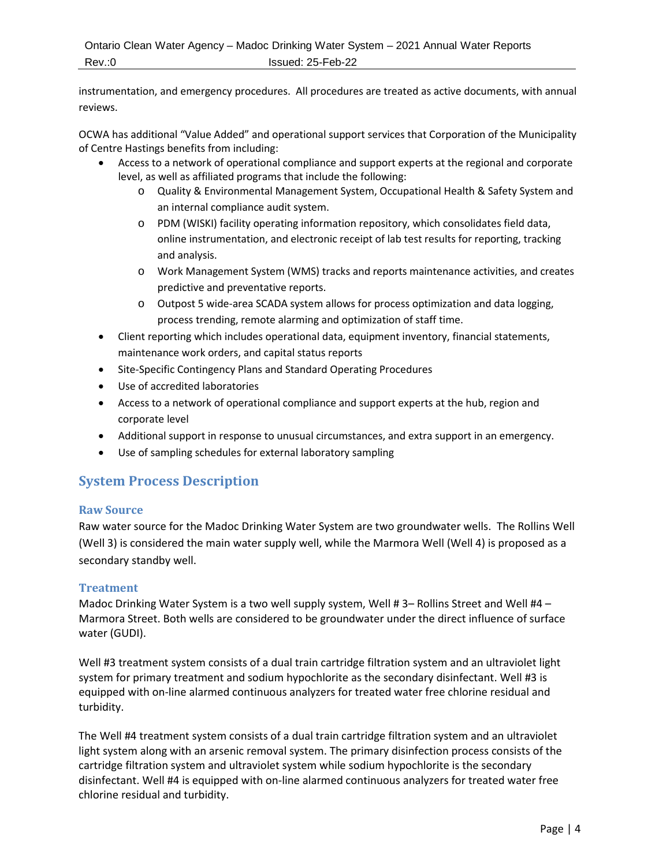instrumentation, and emergency procedures. All procedures are treated as active documents, with annual reviews.

OCWA has additional "Value Added" and operational support services that Corporation of the Municipality of Centre Hastings benefits from including:

- Access to a network of operational compliance and support experts at the regional and corporate level, as well as affiliated programs that include the following:
	- o Quality & Environmental Management System, Occupational Health & Safety System and an internal compliance audit system.
	- o PDM (WISKI) facility operating information repository, which consolidates field data, online instrumentation, and electronic receipt of lab test results for reporting, tracking and analysis.
	- o Work Management System (WMS) tracks and reports maintenance activities, and creates predictive and preventative reports.
	- o Outpost 5 wide-area SCADA system allows for process optimization and data logging, process trending, remote alarming and optimization of staff time.
- Client reporting which includes operational data, equipment inventory, financial statements, maintenance work orders, and capital status reports
- Site-Specific Contingency Plans and Standard Operating Procedures
- Use of accredited laboratories
- Access to a network of operational compliance and support experts at the hub, region and corporate level
- Additional support in response to unusual circumstances, and extra support in an emergency.
- Use of sampling schedules for external laboratory sampling

## <span id="page-3-0"></span>**System Process Description**

#### <span id="page-3-1"></span>**Raw Source**

Raw water source for the Madoc Drinking Water System are two groundwater wells. The Rollins Well (Well 3) is considered the main water supply well, while the Marmora Well (Well 4) is proposed as a secondary standby well.

#### <span id="page-3-2"></span>**Treatment**

Madoc Drinking Water System is a two well supply system, Well # 3– Rollins Street and Well #4 – Marmora Street. Both wells are considered to be groundwater under the direct influence of surface water (GUDI).

Well #3 treatment system consists of a dual train cartridge filtration system and an ultraviolet light system for primary treatment and sodium hypochlorite as the secondary disinfectant. Well #3 is equipped with on-line alarmed continuous analyzers for treated water free chlorine residual and turbidity.

The Well #4 treatment system consists of a dual train cartridge filtration system and an ultraviolet light system along with an arsenic removal system. The primary disinfection process consists of the cartridge filtration system and ultraviolet system while sodium hypochlorite is the secondary disinfectant. Well #4 is equipped with on-line alarmed continuous analyzers for treated water free chlorine residual and turbidity.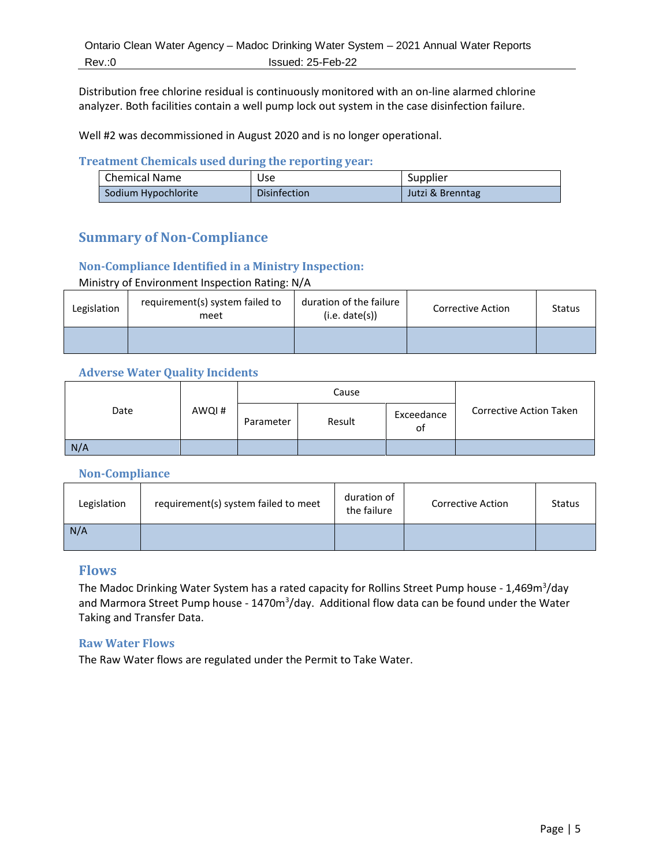Distribution free chlorine residual is continuously monitored with an on-line alarmed chlorine analyzer. Both facilities contain a well pump lock out system in the case disinfection failure.

Well #2 was decommissioned in August 2020 and is no longer operational.

#### <span id="page-4-0"></span>**Treatment Chemicals used during the reporting year:**

| Chemical Name       | Use                 | Supplier         |
|---------------------|---------------------|------------------|
| Sodium Hypochlorite | <b>Disinfection</b> | Jutzi & Brenntag |

## <span id="page-4-1"></span>**Summary of Non-Compliance**

#### <span id="page-4-2"></span>**Non-Compliance Identified in a Ministry Inspection:**

Ministry of Environment Inspection Rating: N/A

| Legislation | requirement(s) system failed to<br>meet | duration of the failure<br>(i.e. date(s)) | Corrective Action | <b>Status</b> |
|-------------|-----------------------------------------|-------------------------------------------|-------------------|---------------|
|             |                                         |                                           |                   |               |

#### <span id="page-4-3"></span>**Adverse Water Quality Incidents**

|      |       | Cause     |        |                  |                         |
|------|-------|-----------|--------|------------------|-------------------------|
| Date | AWQI# | Parameter | Result | Exceedance<br>οt | Corrective Action Taken |
| N/A  |       |           |        |                  |                         |

#### <span id="page-4-4"></span>**Non-Compliance**

| Legislation | requirement(s) system failed to meet | duration of<br>the failure | Corrective Action | <b>Status</b> |
|-------------|--------------------------------------|----------------------------|-------------------|---------------|
| N/A         |                                      |                            |                   |               |

#### <span id="page-4-5"></span>**Flows**

The Madoc Drinking Water System has a rated capacity for Rollins Street Pump house - 1,469m<sup>3</sup>/day and Marmora Street Pump house - 1470m<sup>3</sup>/day. Additional flow data can be found under the Water Taking and Transfer Data.

#### <span id="page-4-6"></span>**Raw Water Flows**

The Raw Water flows are regulated under the Permit to Take Water.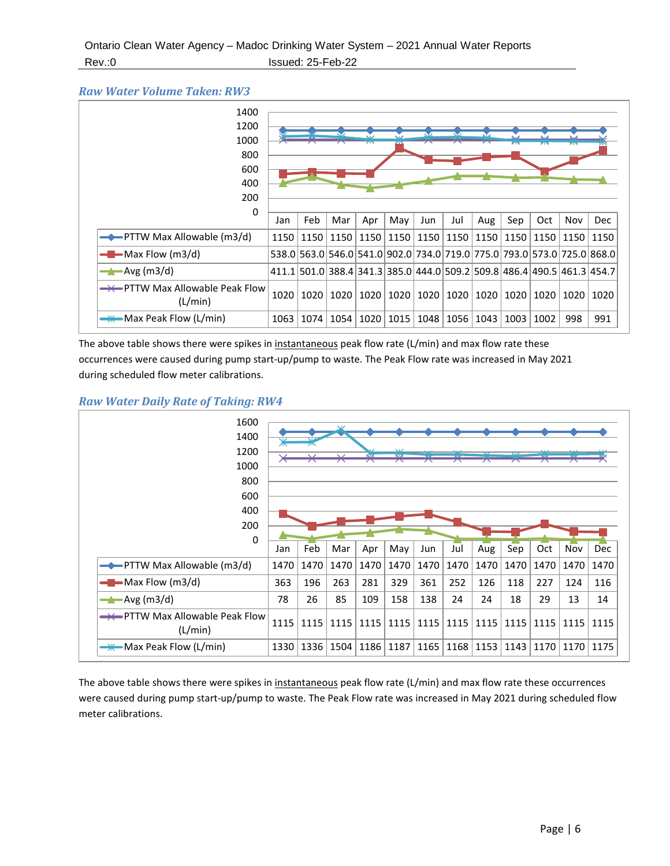#### *Raw Water Volume Taken: RW3*



The above table shows there were spikes in instantaneous peak flow rate (L/min) and max flow rate these occurrences were caused during pump start-up/pump to waste. The Peak Flow rate was increased in May 2021 during scheduled flow meter calibrations.

#### *Raw Water Daily Rate of Taking: RW4*



The above table shows there were spikes in instantaneous peak flow rate (L/min) and max flow rate these occurrences were caused during pump start-up/pump to waste. The Peak Flow rate was increased in May 2021 during scheduled flow meter calibrations.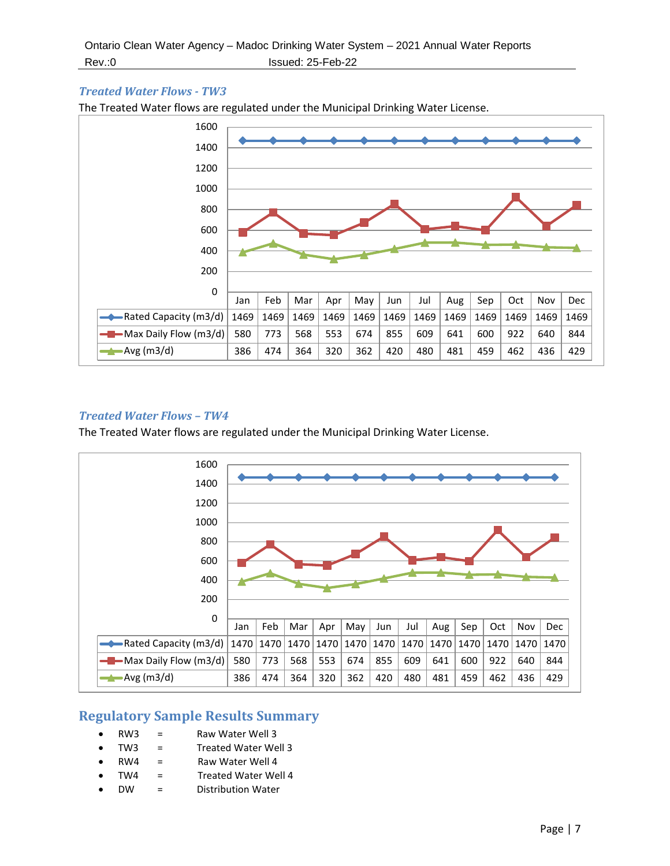#### *Treated Water Flows - TW3*

The Treated Water flows are regulated under the Municipal Drinking Water License.



#### <span id="page-6-0"></span>*Treated Water Flows – TW4*

The Treated Water flows are regulated under the Municipal Drinking Water License.



#### **Regulatory Sample Results Summary**

- $RW3 =$ Raw Water Well 3
- TW3 = Treated Water Well 3
- RW4 = Raw Water Well 4
- TW4 = Treated Water Well 4
- DW = Distribution Water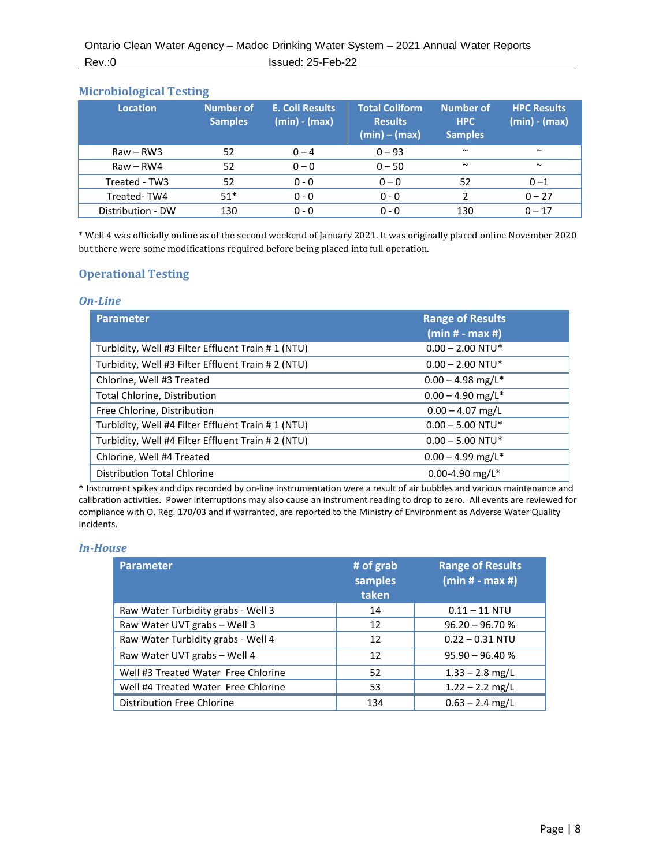#### <span id="page-7-0"></span>**Microbiological Testing**

| <b>Location</b>   | <b>Number of</b><br><b>Samples</b> | E. Coli Results<br>(min) - (max) | <b>Total Coliform</b><br><b>Results</b><br>$(min) - (max)$ | <b>Number of</b><br><b>HPC</b><br><b>Samples</b> | <b>HPC Results</b><br>$(min) - (max)$ |
|-------------------|------------------------------------|----------------------------------|------------------------------------------------------------|--------------------------------------------------|---------------------------------------|
| $Raw - RW3$       | 52                                 | $0 - 4$                          | $0 - 93$                                                   | $\sim$                                           | $\sim$                                |
| $Raw - RWA$       | 52                                 | $0 - 0$                          | $0 - 50$                                                   | $\sim$                                           | $\sim$                                |
| Treated - TW3     | 52                                 | $0 - 0$                          | $0 - 0$                                                    | 52                                               | $0 - 1$                               |
| Treated-TW4       | $51*$                              | $0 - 0$                          | $0 - 0$                                                    | 2                                                | $0 - 27$                              |
| Distribution - DW | 130                                | $0 - 0$                          | $0 - 0$                                                    | 130                                              | $0 - 17$                              |

<span id="page-7-1"></span>\* Well 4 was officially online as of the second weekend of January 2021. It was originally placed online November 2020 but there were some modifications required before being placed into full operation.

#### **Operational Testing**

#### *On-Line*

| <b>Parameter</b>                                  | <b>Range of Results</b><br>$(min# - max #)$ |
|---------------------------------------------------|---------------------------------------------|
| Turbidity, Well #3 Filter Effluent Train #1 (NTU) | $0.00 - 2.00$ NTU*                          |
| Turbidity, Well #3 Filter Effluent Train #2 (NTU) | $0.00 - 2.00$ NTU*                          |
| Chlorine, Well #3 Treated                         | $0.00 - 4.98$ mg/L <sup>*</sup>             |
| Total Chlorine, Distribution                      | $0.00 - 4.90$ mg/L <sup>*</sup>             |
| Free Chlorine, Distribution                       | $0.00 - 4.07$ mg/L                          |
| Turbidity, Well #4 Filter Effluent Train #1 (NTU) | $0.00 - 5.00$ NTU*                          |
| Turbidity, Well #4 Filter Effluent Train #2 (NTU) | $0.00 - 5.00$ NTU*                          |
| Chlorine, Well #4 Treated                         | $0.00 - 4.99$ mg/L <sup>*</sup>             |
| <b>Distribution Total Chlorine</b>                | 0.00-4.90 mg/L*                             |

**\*** Instrument spikes and dips recorded by on-line instrumentation were a result of air bubbles and various maintenance and calibration activities. Power interruptions may also cause an instrument reading to drop to zero. All events are reviewed for compliance with O. Reg. 170/03 and if warranted, are reported to the Ministry of Environment as Adverse Water Quality Incidents.

#### *In-House*

<span id="page-7-2"></span>

| <b>Parameter</b>                    | # of grab<br>samples<br>taken | <b>Range of Results</b><br>$(min# - max #)$ |
|-------------------------------------|-------------------------------|---------------------------------------------|
| Raw Water Turbidity grabs - Well 3  | 14                            | $0.11 - 11$ NTU                             |
| Raw Water UVT grabs - Well 3        | 12                            | $96.20 - 96.70 %$                           |
| Raw Water Turbidity grabs - Well 4  | 12                            | $0.22 - 0.31$ NTU                           |
| Raw Water UVT grabs - Well 4        | 12                            | $95.90 - 96.40 %$                           |
| Well #3 Treated Water Free Chlorine | 52                            | $1.33 - 2.8$ mg/L                           |
| Well #4 Treated Water Free Chlorine | 53                            | $1.22 - 2.2$ mg/L                           |
| Distribution Free Chlorine          | 134                           | $0.63 - 2.4$ mg/L                           |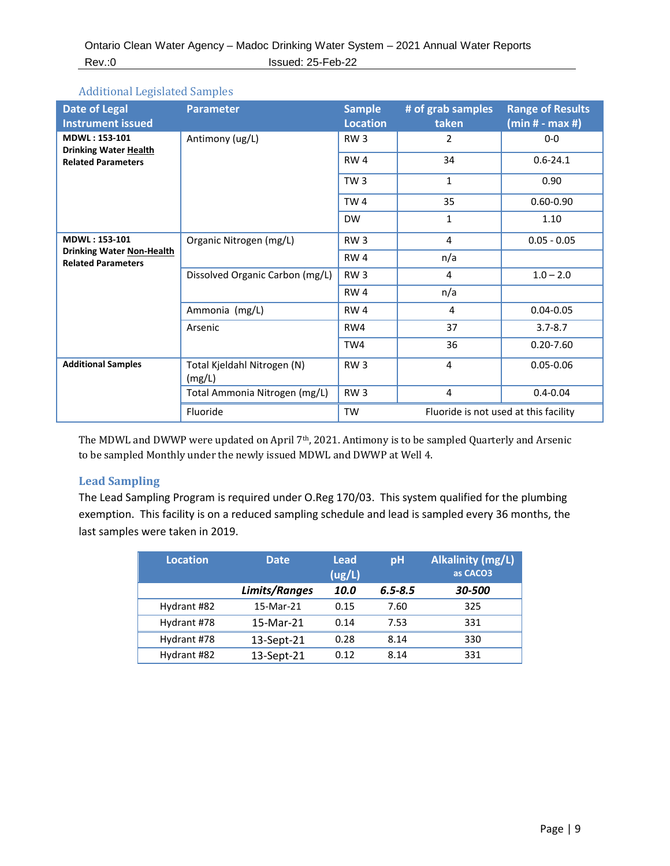Additional Legislated Samples

| <b>Date of Legal</b><br><b>Instrument issued</b>              | <b>Parameter</b>                      | <b>Sample</b><br><b>Location</b>                   | # of grab samples<br>taken | <b>Range of Results</b><br>$(min# - max #)$ |
|---------------------------------------------------------------|---------------------------------------|----------------------------------------------------|----------------------------|---------------------------------------------|
| MDWL: 153-101<br><b>Drinking Water Health</b>                 | Antimony (ug/L)                       | RW <sub>3</sub>                                    | 2                          | $0-0$                                       |
| <b>Related Parameters</b>                                     |                                       | RW <sub>4</sub>                                    | 34                         | $0.6 - 24.1$                                |
|                                                               |                                       | TW <sub>3</sub>                                    | $\mathbf{1}$               | 0.90                                        |
|                                                               |                                       | TW <sub>4</sub>                                    | 35                         | $0.60 - 0.90$                               |
|                                                               |                                       | <b>DW</b>                                          | 1                          | 1.10                                        |
| <b>MDWL: 153-101</b>                                          | Organic Nitrogen (mg/L)               | RW <sub>3</sub>                                    | 4                          | $0.05 - 0.05$                               |
| <b>Drinking Water Non-Health</b><br><b>Related Parameters</b> |                                       | RW4                                                | n/a                        |                                             |
|                                                               | Dissolved Organic Carbon (mg/L)       | RW <sub>3</sub>                                    | 4                          | $1.0 - 2.0$                                 |
|                                                               |                                       | RW4                                                | n/a                        |                                             |
|                                                               | Ammonia (mg/L)                        | RW4                                                | 4                          | $0.04 - 0.05$                               |
|                                                               | Arsenic                               | RW4                                                | 37                         | $3.7 - 8.7$                                 |
|                                                               |                                       | TW4                                                | 36                         | $0.20 - 7.60$                               |
| <b>Additional Samples</b>                                     | Total Kjeldahl Nitrogen (N)<br>(mg/L) | RW <sub>3</sub>                                    | 4                          | $0.05 - 0.06$                               |
|                                                               | Total Ammonia Nitrogen (mg/L)         | RW <sub>3</sub>                                    | 4                          | $0.4 - 0.04$                                |
|                                                               | Fluoride                              | <b>TW</b><br>Fluoride is not used at this facility |                            |                                             |

<span id="page-8-0"></span>The MDWL and DWWP were updated on April 7th, 2021. Antimony is to be sampled Quarterly and Arsenic to be sampled Monthly under the newly issued MDWL and DWWP at Well 4.

#### **Lead Sampling**

The Lead Sampling Program is required under O.Reg 170/03. This system qualified for the plumbing exemption. This facility is on a reduced sampling schedule and lead is sampled every 36 months, the last samples were taken in 2019.

<span id="page-8-1"></span>

| <b>Location</b> | <b>Date</b>   | <b>Lead</b><br>(ug/L) | pH          | Alkalinity (mg/L)<br>as CACO3 |
|-----------------|---------------|-----------------------|-------------|-------------------------------|
|                 | Limits/Ranges | 10.0                  | $6.5 - 8.5$ | 30-500                        |
| Hydrant #82     | 15-Mar-21     | 0.15                  | 7.60        | 325                           |
| Hydrant #78     | 15-Mar-21     | 0.14                  | 7.53        | 331                           |
| Hydrant #78     | 13-Sept-21    | 0.28                  | 8.14        | 330                           |
| Hydrant #82     | 13-Sept-21    | 0.12                  | 8.14        | 331                           |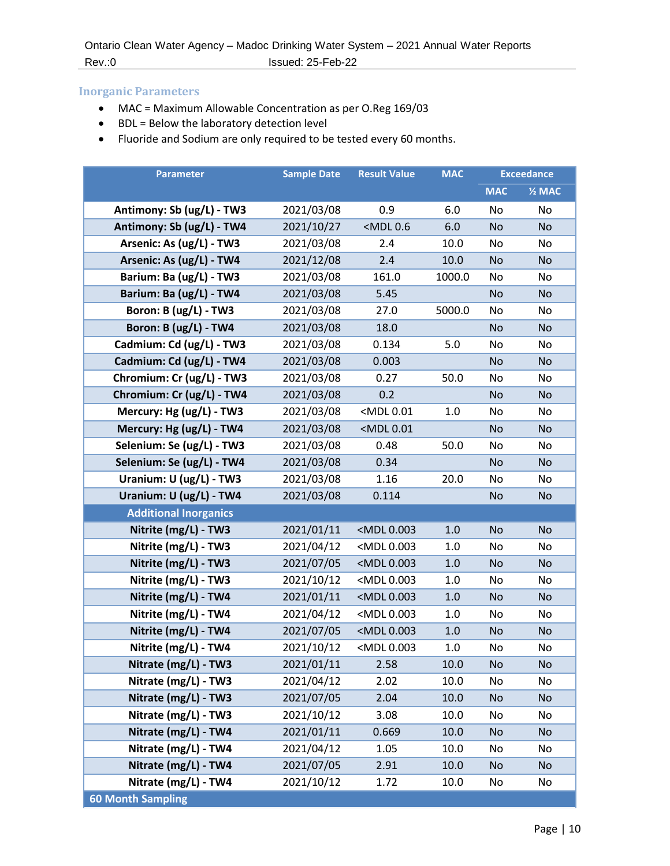#### **Inorganic Parameters**

- MAC = Maximum Allowable Concentration as per O.Reg 169/03
- BDL = Below the laboratory detection level
- Fluoride and Sodium are only required to be tested every 60 months.

| <b>Parameter</b>             | <b>Sample Date</b> | <b>Result Value</b>                                                         | <b>MAC</b> | <b>Exceedance</b> |                   |
|------------------------------|--------------------|-----------------------------------------------------------------------------|------------|-------------------|-------------------|
|                              |                    |                                                                             |            | <b>MAC</b>        | $\frac{1}{2}$ MAC |
| Antimony: Sb (ug/L) - TW3    | 2021/03/08         | 0.9                                                                         | 6.0        | No                | No                |
| Antimony: Sb (ug/L) - TW4    | 2021/10/27         | <mdl0.6< th=""><th>6.0</th><th><b>No</b></th><th><b>No</b></th></mdl0.6<>   | 6.0        | <b>No</b>         | <b>No</b>         |
| Arsenic: As (ug/L) - TW3     | 2021/03/08         | 2.4                                                                         | 10.0       | No                | No                |
| Arsenic: As (ug/L) - TW4     | 2021/12/08         | 2.4                                                                         | 10.0       | <b>No</b>         | <b>No</b>         |
| Barium: Ba (ug/L) - TW3      | 2021/03/08         | 161.0                                                                       | 1000.0     | No                | No                |
| Barium: Ba (ug/L) - TW4      | 2021/03/08         | 5.45                                                                        |            | <b>No</b>         | <b>No</b>         |
| Boron: B (ug/L) - TW3        | 2021/03/08         | 27.0                                                                        | 5000.0     | No                | No                |
| Boron: B (ug/L) - TW4        | 2021/03/08         | 18.0                                                                        |            | <b>No</b>         | <b>No</b>         |
| Cadmium: Cd (ug/L) - TW3     | 2021/03/08         | 0.134                                                                       | 5.0        | No                | No                |
| Cadmium: Cd (ug/L) - TW4     | 2021/03/08         | 0.003                                                                       |            | <b>No</b>         | No                |
| Chromium: Cr (ug/L) - TW3    | 2021/03/08         | 0.27                                                                        | 50.0       | No                | No                |
| Chromium: Cr (ug/L) - TW4    | 2021/03/08         | 0.2                                                                         |            | <b>No</b>         | <b>No</b>         |
| Mercury: Hg (ug/L) - TW3     | 2021/03/08         | <mdl 0.01<="" th=""><th>1.0</th><th>No</th><th>No</th></mdl>                | 1.0        | No                | No                |
| Mercury: Hg (ug/L) - TW4     | 2021/03/08         | <mdl 0.01<="" th=""><th></th><th><b>No</b></th><th><b>No</b></th></mdl>     |            | <b>No</b>         | <b>No</b>         |
| Selenium: Se (ug/L) - TW3    | 2021/03/08         | 0.48                                                                        | 50.0       | No                | No                |
| Selenium: Se (ug/L) - TW4    | 2021/03/08         | 0.34                                                                        |            | <b>No</b>         | <b>No</b>         |
| Uranium: U (ug/L) - TW3      | 2021/03/08         | 1.16                                                                        | 20.0       | No                | No                |
| Uranium: U (ug/L) - TW4      | 2021/03/08         | 0.114                                                                       |            | <b>No</b>         | No                |
| <b>Additional Inorganics</b> |                    |                                                                             |            |                   |                   |
| Nitrite (mg/L) - TW3         | 2021/01/11         | <mdl 0.003<="" th=""><th>1.0</th><th><b>No</b></th><th><b>No</b></th></mdl> | 1.0        | <b>No</b>         | <b>No</b>         |
| Nitrite (mg/L) - TW3         | 2021/04/12         | <mdl 0.003<="" th=""><th>1.0</th><th>No</th><th>No</th></mdl>               | 1.0        | No                | No                |
| Nitrite (mg/L) - TW3         | 2021/07/05         | <mdl 0.003<="" th=""><th>1.0</th><th><b>No</b></th><th><b>No</b></th></mdl> | 1.0        | <b>No</b>         | <b>No</b>         |
| Nitrite (mg/L) - TW3         | 2021/10/12         | <mdl 0.003<="" th=""><th>1.0</th><th>No</th><th>No</th></mdl>               | 1.0        | No                | No                |
| Nitrite (mg/L) - TW4         | 2021/01/11         | <mdl 0.003<="" th=""><th>1.0</th><th><b>No</b></th><th><b>No</b></th></mdl> | 1.0        | <b>No</b>         | <b>No</b>         |
| Nitrite (mg/L) - TW4         | 2021/04/12         | <mdl 0.003<="" th=""><th>1.0</th><th>No</th><th>No</th></mdl>               | 1.0        | No                | No                |
| Nitrite (mg/L) - TW4         | 2021/07/05         | <mdl 0.003<="" th=""><th>1.0</th><th><b>No</b></th><th>No</th></mdl>        | 1.0        | <b>No</b>         | No                |
| Nitrite (mg/L) - TW4         | 2021/10/12         | <mdl 0.003<="" th=""><th>1.0</th><th>No</th><th>No</th></mdl>               | 1.0        | No                | No                |
| Nitrate (mg/L) - TW3         | 2021/01/11         | 2.58                                                                        | 10.0       | No                | No                |
| Nitrate (mg/L) - TW3         | 2021/04/12         | 2.02                                                                        | 10.0       | No                | No                |
| Nitrate (mg/L) - TW3         | 2021/07/05         | 2.04                                                                        | 10.0       | <b>No</b>         | <b>No</b>         |
| Nitrate (mg/L) - TW3         | 2021/10/12         | 3.08                                                                        | 10.0       | No                | No                |
| Nitrate (mg/L) - TW4         | 2021/01/11         | 0.669                                                                       | 10.0       | No                | <b>No</b>         |
| Nitrate (mg/L) - TW4         | 2021/04/12         | 1.05                                                                        | 10.0       | No                | No                |
| Nitrate (mg/L) - TW4         | 2021/07/05         | 2.91                                                                        | 10.0       | <b>No</b>         | <b>No</b>         |
| Nitrate (mg/L) - TW4         | 2021/10/12         | 1.72                                                                        | 10.0       | No                | No                |
| <b>60 Month Sampling</b>     |                    |                                                                             |            |                   |                   |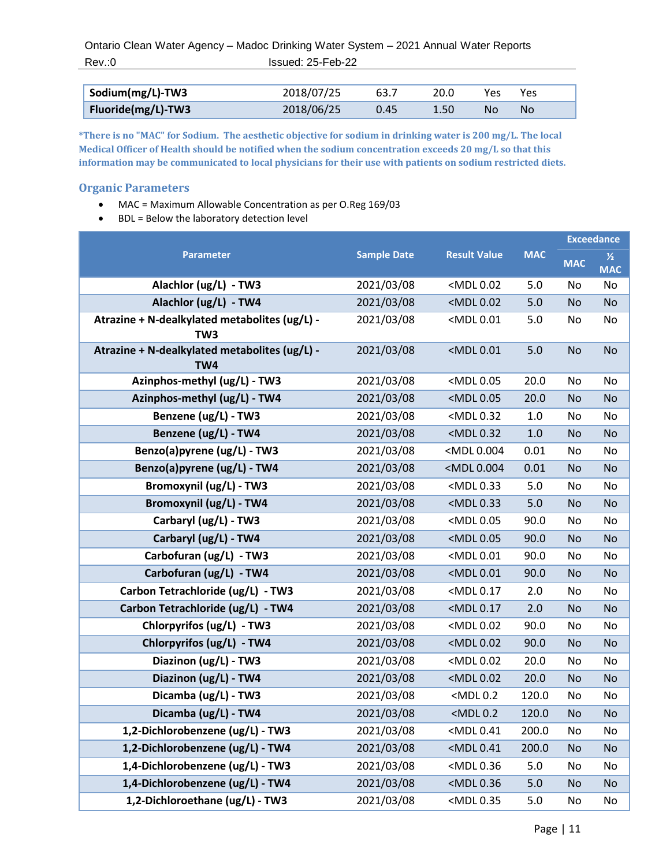Ontario Clean Water Agency – Madoc Drinking Water System – 2021 Annual Water Reports Rev.:0 Issued: 25-Feb-22

| Sodium(mg/L)-TW3   | 2018/07/25 | 63.7 | 20.0 | Yes. | Yes |  |
|--------------------|------------|------|------|------|-----|--|
| Fluoride(mg/L)-TW3 | 2018/06/25 | 0.45 | 1.50 | No   | No  |  |

**\*There is no "MAC" for Sodium. The aesthetic objective for sodium in drinking water is 200 mg/L. The local Medical Officer of Health should be notified when the sodium concentration exceeds 20 mg/L so that this information may be communicated to local physicians for their use with patients on sodium restricted diets.**

#### <span id="page-10-0"></span>**Organic Parameters**

- MAC = Maximum Allowable Concentration as per O.Reg 169/03
- BDL = Below the laboratory detection level

|                                                                  |            |                                                                              | <b>MAC</b> | <b>Exceedance</b> |                             |
|------------------------------------------------------------------|------------|------------------------------------------------------------------------------|------------|-------------------|-----------------------------|
| <b>Parameter</b>                                                 |            | <b>Sample Date</b><br><b>Result Value</b>                                    |            | <b>MAC</b>        | $\frac{1}{2}$<br><b>MAC</b> |
| Alachlor (ug/L) - TW3                                            | 2021/03/08 | <mdl 0.02<="" th=""><th>5.0</th><th>No</th><th>No</th></mdl>                 | 5.0        | No                | No                          |
| Alachlor (ug/L) - TW4                                            | 2021/03/08 | <mdl 0.02<="" th=""><th>5.0</th><th><b>No</b></th><th><b>No</b></th></mdl>   | 5.0        | <b>No</b>         | <b>No</b>                   |
| Atrazine + N-dealkylated metabolites (ug/L) -<br>TW <sub>3</sub> | 2021/03/08 | <mdl0.01< th=""><th>5.0</th><th>No</th><th>No</th></mdl0.01<>                | 5.0        | No                | No                          |
| Atrazine + N-dealkylated metabolites (ug/L) -<br>TW4             | 2021/03/08 | <mdl0.01< th=""><th>5.0</th><th><b>No</b></th><th><b>No</b></th></mdl0.01<>  | 5.0        | <b>No</b>         | <b>No</b>                   |
| Azinphos-methyl (ug/L) - TW3                                     | 2021/03/08 | <mdl0.05< th=""><th>20.0</th><th>No</th><th>No</th></mdl0.05<>               | 20.0       | No                | No                          |
| Azinphos-methyl (ug/L) - TW4                                     | 2021/03/08 | <mdl0.05< th=""><th>20.0</th><th><b>No</b></th><th><b>No</b></th></mdl0.05<> | 20.0       | <b>No</b>         | <b>No</b>                   |
| Benzene (ug/L) - TW3                                             | 2021/03/08 | <mdl 0.32<="" th=""><th>1.0</th><th>No</th><th>No</th></mdl>                 | 1.0        | No                | No                          |
| Benzene (ug/L) - TW4                                             | 2021/03/08 | <mdl 0.32<="" th=""><th>1.0</th><th><b>No</b></th><th>No</th></mdl>          | 1.0        | <b>No</b>         | No                          |
| Benzo(a)pyrene (ug/L) - TW3                                      | 2021/03/08 | <mdl0.004< th=""><th>0.01</th><th>No</th><th>No</th></mdl0.004<>             | 0.01       | No                | No                          |
| Benzo(a)pyrene (ug/L) - TW4                                      | 2021/03/08 | <mdl0.004< th=""><th>0.01</th><th><b>No</b></th><th>No</th></mdl0.004<>      | 0.01       | <b>No</b>         | No                          |
| Bromoxynil (ug/L) - TW3                                          | 2021/03/08 | <mdl 0.33<="" th=""><th>5.0</th><th>No</th><th>No</th></mdl>                 | 5.0        | No                | No                          |
| <b>Bromoxynil (ug/L) - TW4</b>                                   | 2021/03/08 | <mdl0.33< th=""><th>5.0</th><th><b>No</b></th><th><b>No</b></th></mdl0.33<>  | 5.0        | <b>No</b>         | <b>No</b>                   |
| Carbaryl (ug/L) - TW3                                            | 2021/03/08 | <mdl 0.05<="" th=""><th>90.0</th><th>No</th><th>No</th></mdl>                | 90.0       | No                | No                          |
| Carbaryl (ug/L) - TW4                                            | 2021/03/08 | <mdl 0.05<="" th=""><th>90.0</th><th><b>No</b></th><th>No</th></mdl>         | 90.0       | <b>No</b>         | No                          |
| Carbofuran (ug/L) - TW3                                          | 2021/03/08 | <mdl 0.01<="" th=""><th>90.0</th><th>No</th><th>No</th></mdl>                | 90.0       | No                | No                          |
| Carbofuran (ug/L) - TW4                                          | 2021/03/08 | <mdl 0.01<="" th=""><th>90.0</th><th><b>No</b></th><th>No</th></mdl>         | 90.0       | <b>No</b>         | No                          |
| Carbon Tetrachloride (ug/L) - TW3                                | 2021/03/08 | <mdl0.17< th=""><th>2.0</th><th>No</th><th>No</th></mdl0.17<>                | 2.0        | No                | No                          |
| Carbon Tetrachloride (ug/L) - TW4                                | 2021/03/08 | <mdl 0.17<="" th=""><th>2.0</th><th><b>No</b></th><th><b>No</b></th></mdl>   | 2.0        | <b>No</b>         | <b>No</b>                   |
| Chlorpyrifos (ug/L) - TW3                                        | 2021/03/08 | <mdl 0.02<="" th=""><th>90.0</th><th>No</th><th>No</th></mdl>                | 90.0       | No                | No                          |
| Chlorpyrifos (ug/L) - TW4                                        | 2021/03/08 | <mdl 0.02<="" th=""><th>90.0</th><th><b>No</b></th><th>No</th></mdl>         | 90.0       | <b>No</b>         | No                          |
| Diazinon (ug/L) - TW3                                            | 2021/03/08 | <mdl 0.02<="" th=""><th>20.0</th><th>No</th><th>No</th></mdl>                | 20.0       | No                | No                          |
| Diazinon (ug/L) - TW4                                            | 2021/03/08 | <mdl 0.02<="" th=""><th>20.0</th><th><b>No</b></th><th>No</th></mdl>         | 20.0       | <b>No</b>         | No                          |
| Dicamba (ug/L) - TW3                                             | 2021/03/08 | $<$ MDL $0.2$                                                                | 120.0      | No                | No                          |
| Dicamba (ug/L) - TW4                                             | 2021/03/08 | <mdl0.2< th=""><th>120.0</th><th><b>No</b></th><th>No</th></mdl0.2<>         | 120.0      | <b>No</b>         | No                          |
| 1,2-Dichlorobenzene (ug/L) - TW3                                 | 2021/03/08 | <mdl0.41< th=""><th>200.0</th><th>No</th><th>No</th></mdl0.41<>              | 200.0      | No                | No                          |
| 1,2-Dichlorobenzene (ug/L) - TW4                                 | 2021/03/08 | <mdl0.41< th=""><th>200.0</th><th><b>No</b></th><th>No</th></mdl0.41<>       | 200.0      | <b>No</b>         | No                          |
| 1,4-Dichlorobenzene (ug/L) - TW3                                 | 2021/03/08 | <mdl 0.36<="" th=""><th>5.0</th><th>No</th><th>No</th></mdl>                 | 5.0        | No                | No                          |
| 1,4-Dichlorobenzene (ug/L) - TW4                                 | 2021/03/08 | <mdl 0.36<="" th=""><th>5.0</th><th><b>No</b></th><th>No</th></mdl>          | 5.0        | <b>No</b>         | No                          |
| 1,2-Dichloroethane (ug/L) - TW3                                  | 2021/03/08 | <mdl 0.35<="" th=""><th>5.0</th><th>No</th><th>No</th></mdl>                 | 5.0        | No                | No                          |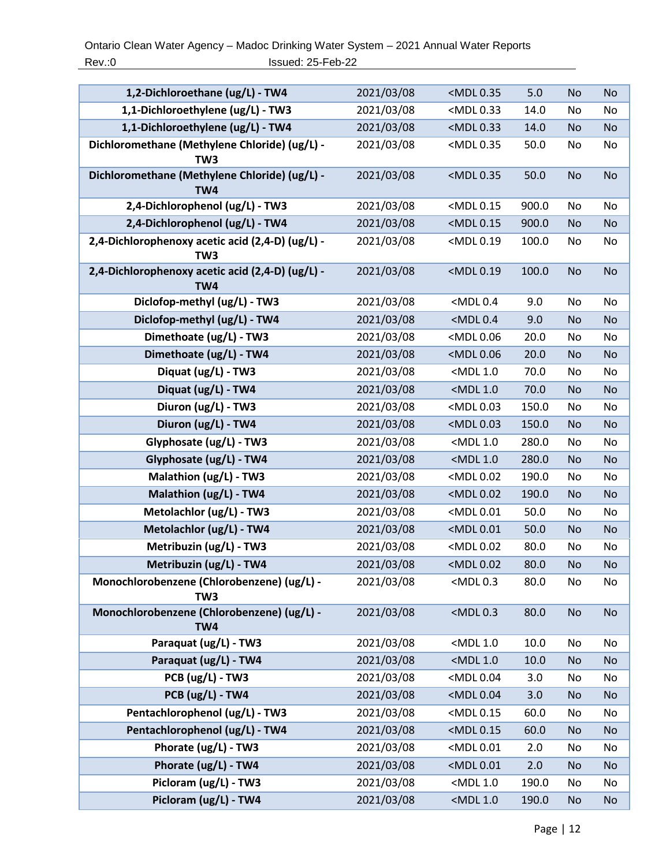| 2021/03/08 | <mdl 0.35<="" th=""><th>5.0</th><th><b>No</b></th><th><b>No</b></th></mdl>    | 5.0   | <b>No</b> | <b>No</b> |
|------------|-------------------------------------------------------------------------------|-------|-----------|-----------|
| 2021/03/08 | <mdl0.33< th=""><th>14.0</th><th>No</th><th>No</th></mdl0.33<>                | 14.0  | No        | No        |
| 2021/03/08 | <mdl 0.33<="" th=""><th>14.0</th><th><b>No</b></th><th><b>No</b></th></mdl>   | 14.0  | <b>No</b> | <b>No</b> |
| 2021/03/08 | <mdl0.35< th=""><th>50.0</th><th>No</th><th>No</th></mdl0.35<>                | 50.0  | No        | No        |
| 2021/03/08 | <mdl 0.35<="" th=""><th>50.0</th><th><b>No</b></th><th><b>No</b></th></mdl>   | 50.0  | <b>No</b> | <b>No</b> |
| 2021/03/08 | <mdl 0.15<="" th=""><th>900.0</th><th>No</th><th>No</th></mdl>                | 900.0 | No        | No        |
| 2021/03/08 | <mdl 0.15<="" th=""><th>900.0</th><th><b>No</b></th><th>No</th></mdl>         | 900.0 | <b>No</b> | No        |
| 2021/03/08 | <mdl0.19< th=""><th>100.0</th><th>No</th><th>No</th></mdl0.19<>               | 100.0 | No        | No        |
| 2021/03/08 | <mdl0.19< th=""><th>100.0</th><th><b>No</b></th><th><b>No</b></th></mdl0.19<> | 100.0 | <b>No</b> | <b>No</b> |
|            | $<$ MDL $0.4$                                                                 | 9.0   | No        | No        |
|            | $<$ MDL $0.4$                                                                 | 9.0   | No        | No        |
| 2021/03/08 | <mdl0.06< th=""><th>20.0</th><th>No</th><th>No</th></mdl0.06<>                | 20.0  | No        | No        |
| 2021/03/08 | <mdl0.06< th=""><th>20.0</th><th><b>No</b></th><th><b>No</b></th></mdl0.06<>  | 20.0  | <b>No</b> | <b>No</b> |
| 2021/03/08 | <mdl 1.0<="" th=""><th>70.0</th><th>No</th><th>No</th></mdl>                  | 70.0  | No        | No        |
| 2021/03/08 | <mdl 1.0<="" th=""><th>70.0</th><th><b>No</b></th><th><b>No</b></th></mdl>    | 70.0  | <b>No</b> | <b>No</b> |
| 2021/03/08 | <mdl 0.03<="" th=""><th>150.0</th><th>No</th><th>No</th></mdl>                | 150.0 | No        | No        |
| 2021/03/08 | <mdl 0.03<="" th=""><th>150.0</th><th><b>No</b></th><th>No</th></mdl>         | 150.0 | <b>No</b> | No        |
| 2021/03/08 | <mdl 1.0<="" th=""><th>280.0</th><th>No</th><th>No</th></mdl>                 | 280.0 | No        | No        |
| 2021/03/08 | $<$ MDL 1.0                                                                   | 280.0 | <b>No</b> | <b>No</b> |
| 2021/03/08 | <mdl0.02< th=""><th>190.0</th><th>No</th><th>No</th></mdl0.02<>               | 190.0 | No        | No        |
| 2021/03/08 | <mdl0.02< th=""><th>190.0</th><th>No</th><th>No</th></mdl0.02<>               | 190.0 | No        | No        |
| 2021/03/08 | <mdl0.01< th=""><th>50.0</th><th>No</th><th>No</th></mdl0.01<>                | 50.0  | No        | No        |
| 2021/03/08 | <mdl0.01< th=""><th>50.0</th><th><b>No</b></th><th>No</th></mdl0.01<>         | 50.0  | <b>No</b> | No        |
| 2021/03/08 | <mdl 0.02<="" th=""><th>80.0</th><th>No</th><th>No</th></mdl>                 | 80.0  | No        | No        |
| 2021/03/08 | <mdl 0.02<="" th=""><th>80.0</th><th><b>No</b></th><th>No</th></mdl>          | 80.0  | <b>No</b> | No        |
| 2021/03/08 | <mdl0.3< th=""><th>80.0</th><th>No</th><th>No</th></mdl0.3<>                  | 80.0  | No        | No        |
| 2021/03/08 | $<$ MDL $0.3$                                                                 | 80.0  | <b>No</b> | <b>No</b> |
| 2021/03/08 | <mdl 1.0<="" th=""><th>10.0</th><th>No</th><th>No</th></mdl>                  | 10.0  | No        | No        |
| 2021/03/08 | <mdl 1.0<="" th=""><th>10.0</th><th><b>No</b></th><th>No</th></mdl>           | 10.0  | <b>No</b> | No        |
| 2021/03/08 | <mdl0.04< th=""><th>3.0</th><th>No</th><th>No</th></mdl0.04<>                 | 3.0   | No        | No        |
| 2021/03/08 | <mdl0.04< th=""><th>3.0</th><th><b>No</b></th><th><b>No</b></th></mdl0.04<>   | 3.0   | <b>No</b> | <b>No</b> |
| 2021/03/08 | <mdl0.15< th=""><th>60.0</th><th>No</th><th>No</th></mdl0.15<>                | 60.0  | No        | No        |
| 2021/03/08 | <mdl 0.15<="" th=""><th>60.0</th><th><b>No</b></th><th><b>No</b></th></mdl>   | 60.0  | <b>No</b> | <b>No</b> |
| 2021/03/08 | <mdl0.01< th=""><th>2.0</th><th>No</th><th>No</th></mdl0.01<>                 | 2.0   | No        | No        |
| 2021/03/08 | <mdl0.01< th=""><th>2.0</th><th>No</th><th><b>No</b></th></mdl0.01<>          | 2.0   | No        | <b>No</b> |
| 2021/03/08 | $<$ MDL 1.0                                                                   | 190.0 | No        | No        |
| 2021/03/08 | $<$ MDL 1.0                                                                   | 190.0 | <b>No</b> | <b>No</b> |
|            | 2021/03/08<br>2021/03/08                                                      |       |           |           |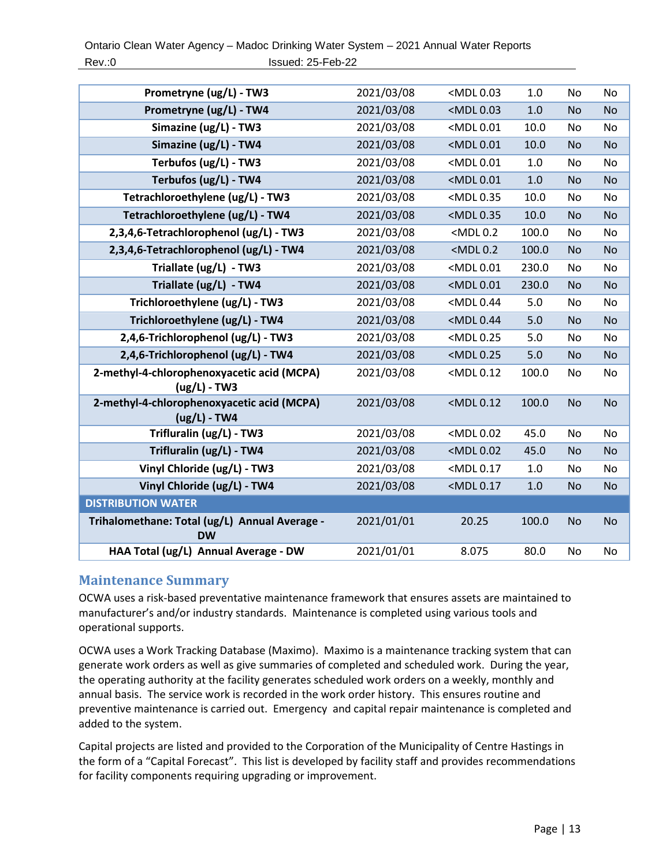| Prometryne (ug/L) - TW3                                      | 2021/03/08 | <mdl 0.03<="" th=""><th>1.0</th><th>No</th><th>No</th></mdl>                  | 1.0   | No        | No        |
|--------------------------------------------------------------|------------|-------------------------------------------------------------------------------|-------|-----------|-----------|
| Prometryne (ug/L) - TW4                                      | 2021/03/08 | <mdl 0.03<="" th=""><th>1.0</th><th><b>No</b></th><th><b>No</b></th></mdl>    | 1.0   | <b>No</b> | <b>No</b> |
| Simazine (ug/L) - TW3                                        | 2021/03/08 | <mdl0.01< th=""><th>10.0</th><th><b>No</b></th><th><b>No</b></th></mdl0.01<>  | 10.0  | <b>No</b> | <b>No</b> |
| Simazine (ug/L) - TW4                                        | 2021/03/08 | <mdl0.01< th=""><th>10.0</th><th><b>No</b></th><th><b>No</b></th></mdl0.01<>  | 10.0  | <b>No</b> | <b>No</b> |
| Terbufos (ug/L) - TW3                                        | 2021/03/08 | <mdl0.01< th=""><th>1.0</th><th>No</th><th>No</th></mdl0.01<>                 | 1.0   | No        | No        |
| Terbufos (ug/L) - TW4                                        | 2021/03/08 | <mdl0.01< th=""><th>1.0</th><th><b>No</b></th><th><b>No</b></th></mdl0.01<>   | 1.0   | <b>No</b> | <b>No</b> |
| Tetrachloroethylene (ug/L) - TW3                             | 2021/03/08 | <mdl0.35< th=""><th>10.0</th><th>No</th><th>No</th></mdl0.35<>                | 10.0  | No        | No        |
| Tetrachloroethylene (ug/L) - TW4                             | 2021/03/08 | <mdl 0.35<="" th=""><th>10.0</th><th><b>No</b></th><th><b>No</b></th></mdl>   | 10.0  | <b>No</b> | <b>No</b> |
| 2,3,4,6-Tetrachlorophenol (ug/L) - TW3                       | 2021/03/08 | $<$ MDL $0.2$                                                                 | 100.0 | <b>No</b> | No        |
| 2,3,4,6-Tetrachlorophenol (ug/L) - TW4                       | 2021/03/08 | $<$ MDL $0.2$                                                                 | 100.0 | <b>No</b> | <b>No</b> |
| Triallate (ug/L) - TW3                                       | 2021/03/08 | <mdl0.01< th=""><th>230.0</th><th>No.</th><th>No</th></mdl0.01<>              | 230.0 | No.       | No        |
| Triallate (ug/L) - TW4                                       | 2021/03/08 | <mdl0.01< th=""><th>230.0</th><th><b>No</b></th><th><b>No</b></th></mdl0.01<> | 230.0 | <b>No</b> | <b>No</b> |
| Trichloroethylene (ug/L) - TW3                               | 2021/03/08 | <mdl0.44< th=""><th>5.0</th><th>No</th><th>No</th></mdl0.44<>                 | 5.0   | No        | No        |
| Trichloroethylene (ug/L) - TW4                               | 2021/03/08 | <mdl0.44< th=""><th>5.0</th><th><b>No</b></th><th><b>No</b></th></mdl0.44<>   | 5.0   | <b>No</b> | <b>No</b> |
| 2,4,6-Trichlorophenol (ug/L) - TW3                           | 2021/03/08 | <mdl 0.25<="" th=""><th>5.0</th><th>No</th><th>No</th></mdl>                  | 5.0   | No        | No        |
| 2,4,6-Trichlorophenol (ug/L) - TW4                           | 2021/03/08 | <mdl 0.25<="" th=""><th>5.0</th><th><b>No</b></th><th><b>No</b></th></mdl>    | 5.0   | <b>No</b> | <b>No</b> |
| 2-methyl-4-chlorophenoxyacetic acid (MCPA)<br>$(ug/L) - TW3$ | 2021/03/08 | <mdl0.12< th=""><th>100.0</th><th>No</th><th>No</th></mdl0.12<>               | 100.0 | No        | No        |
| 2-methyl-4-chlorophenoxyacetic acid (MCPA)<br>$(ug/L)$ - TW4 | 2021/03/08 | <mdl0.12< th=""><th>100.0</th><th><b>No</b></th><th><b>No</b></th></mdl0.12<> | 100.0 | <b>No</b> | <b>No</b> |
| Trifluralin (ug/L) - TW3                                     | 2021/03/08 | <mdl0.02< th=""><th>45.0</th><th>No</th><th>No</th></mdl0.02<>                | 45.0  | No        | No        |
| Trifluralin (ug/L) - TW4                                     | 2021/03/08 | <mdl 0.02<="" th=""><th>45.0</th><th><b>No</b></th><th><b>No</b></th></mdl>   | 45.0  | <b>No</b> | <b>No</b> |
| Vinyl Chloride (ug/L) - TW3                                  | 2021/03/08 | <mdl0.17< th=""><th>1.0</th><th>No</th><th><b>No</b></th></mdl0.17<>          | 1.0   | No        | <b>No</b> |
| Vinyl Chloride (ug/L) - TW4                                  | 2021/03/08 | <mdl0.17< th=""><th>1.0</th><th><b>No</b></th><th>No</th></mdl0.17<>          | 1.0   | <b>No</b> | No        |
| <b>DISTRIBUTION WATER</b>                                    |            |                                                                               |       |           |           |
| Trihalomethane: Total (ug/L) Annual Average -<br><b>DW</b>   | 2021/01/01 | 20.25                                                                         | 100.0 | <b>No</b> | <b>No</b> |
| HAA Total (ug/L) Annual Average - DW                         | 2021/01/01 | 8.075                                                                         | 80.0  | No        | No        |

#### <span id="page-12-0"></span>**Maintenance Summary**

OCWA uses a risk-based preventative maintenance framework that ensures assets are maintained to manufacturer's and/or industry standards. Maintenance is completed using various tools and operational supports.

OCWA uses a Work Tracking Database (Maximo). Maximo is a maintenance tracking system that can generate work orders as well as give summaries of completed and scheduled work. During the year, the operating authority at the facility generates scheduled work orders on a weekly, monthly and annual basis. The service work is recorded in the work order history. This ensures routine and preventive maintenance is carried out. Emergency and capital repair maintenance is completed and added to the system.

Capital projects are listed and provided to the Corporation of the Municipality of Centre Hastings in the form of a "Capital Forecast". This list is developed by facility staff and provides recommendations for facility components requiring upgrading or improvement.